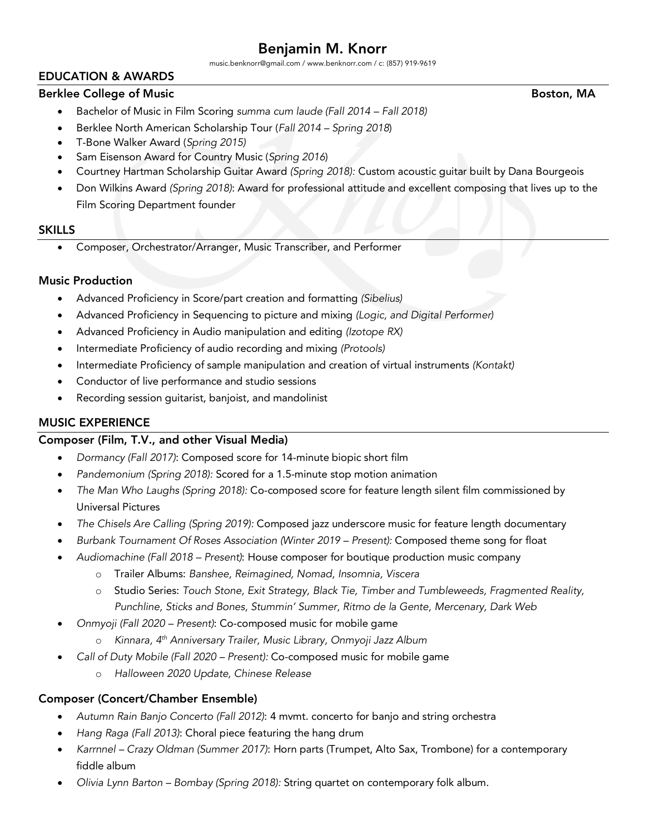music.benknorr@gmail.com / www.benknorr.com / c: (857) 919-9619

# EDUCATION & AWARDS

#### Berklee College of Music Boston, MA

- Bachelor of Music in Film Scoring *summa cum laude (Fall 2014 – Fall 2018)*
- Berklee North American Scholarship Tour (*Fall 2014 – Spring 2018*)
- T-Bone Walker Award (*Spring 2015)*
- Sam Eisenson Award for Country Music (*Spring 2016*)
- Courtney Hartman Scholarship Guitar Award *(Spring 2018):* Custom acoustic guitar built by Dana Bourgeois
- Don Wilkins Award *(Spring 2018)*: Award for professional attitude and excellent composing that lives up to the Film Scoring Department founder

#### **SKILLS**

• Composer, Orchestrator/Arranger, Music Transcriber, and Performer

#### Music Production

- Advanced Proficiency in Score/part creation and formatting *(Sibelius)*
- Advanced Proficiency in Sequencing to picture and mixing *(Logic, and Digital Performer)*
- Advanced Proficiency in Audio manipulation and editing *(Izotope RX)*
- Intermediate Proficiency of audio recording and mixing *(Protools)*
- Intermediate Proficiency of sample manipulation and creation of virtual instruments *(Kontakt)*
- Conductor of live performance and studio sessions
- Recording session guitarist, banjoist, and mandolinist

## MUSIC EXPERIENCE

## Composer (Film, T.V., and other Visual Media)

- *Dormancy (Fall 2017)*: Composed score for 14-minute biopic short film
- *Pandemonium (Spring 2018):* Scored for a 1.5-minute stop motion animation
- *The Man Who Laughs (Spring 2018):* Co-composed score for feature length silent film commissioned by Universal Pictures
- *The Chisels Are Calling (Spring 2019):* Composed jazz underscore music for feature length documentary
- *Burbank Tournament Of Roses Association (Winter 2019 – Present):* Composed theme song for float
- *Audiomachine (Fall 2018 – Present)*: House composer for boutique production music company
	- o Trailer Albums: *Banshee, Reimagined, Nomad, Insomnia, Viscera*
	- o Studio Series: *Touch Stone, Exit Strategy, Black Tie, Timber and Tumbleweeds, Fragmented Reality, Punchline, Sticks and Bones, Stummin' Summer, Ritmo de la Gente, Mercenary, Dark Web*
- *Onmyoji (Fall 2020 – Present)*: Co-composed music for mobile game
	- o *Kinnara, 4th Anniversary Trailer, Music Library, Onmyoji Jazz Album*
- *Call of Duty Mobile (Fall 2020 – Present):* Co-composed music for mobile game
	- o *Halloween 2020 Update, Chinese Release*

## Composer (Concert/Chamber Ensemble)

- *Autumn Rain Banjo Concerto (Fall 2012)*: 4 mvmt. concerto for banjo and string orchestra
- *Hang Raga (Fall 2013)*: Choral piece featuring the hang drum
- *Karrnnel – Crazy Oldman (Summer 2017)*: Horn parts (Trumpet, Alto Sax, Trombone) for a contemporary fiddle album
- *Olivia Lynn Barton – Bombay (Spring 2018):* String quartet on contemporary folk album.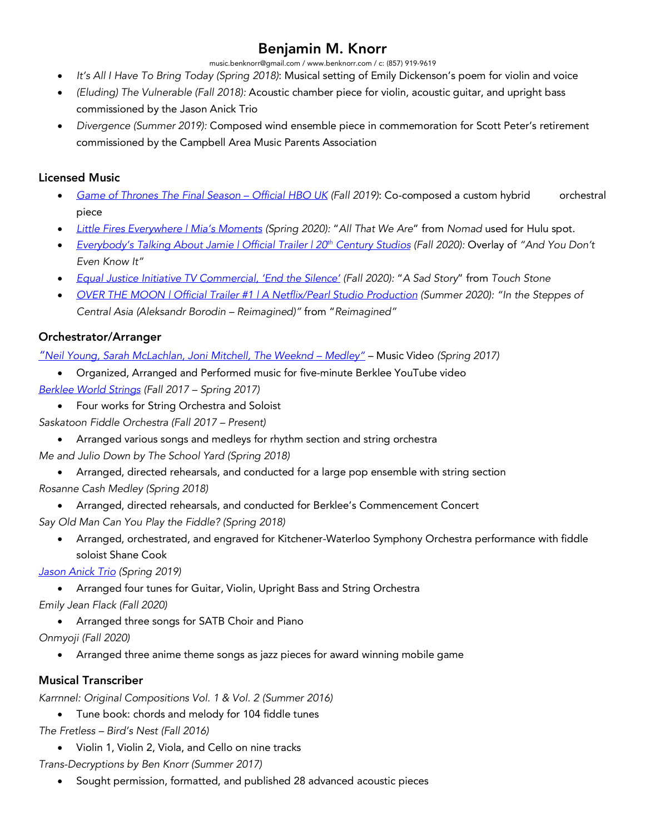music.benknorr@gmail.com / www.benknorr.com / c: (857) 919-9619

- *It's All I Have To Bring Today (Spring 2018)*: Musical setting of Emily Dickenson's poem for violin and voice
- *(Eluding) The Vulnerable (Fall 2018):* Acoustic chamber piece for violin, acoustic guitar, and upright bass commissioned by the Jason Anick Trio
- *Divergence (Summer 2019):* Composed wind ensemble piece in commemoration for Scott Peter's retirement commissioned by the Campbell Area Music Parents Association

## Licensed Music

- *Game of Thrones The Final Season – Official HBO UK (Fall 2019)*: Co-composed a custom hybrid orchestral piece
- *Little Fires Everywhere | Mia's Moments (Spring 2020):* "*All That We Are*" from *Nomad* used for Hulu spot.
- *Everybody's Talking About Jamie | Official Trailer | 20th Century Studios (Fall 2020):* Overlay of *"And You Don't Even Know It"*
- *Equal Justice Initiative TV Commercial, 'End the Silence' (Fall 2020):* "*A Sad Story*" from *Touch Stone*
- *OVER THE MOON | Official Trailer #1 | A Netflix/Pearl Studio Production (Summer 2020): "In the Steppes of Central Asia (Aleksandr Borodin – Reimagined)"* from "*Reimagined"*

# Orchestrator/Arranger

*"Neil Young, Sarah McLachlan, Joni Mitchell, The Weeknd – Medley"* – Music Video *(Spring 2017)*

- Organized, Arranged and Performed music for five-minute Berklee YouTube video
- *Berklee World Strings (Fall 2017 – Spring 2017)*
	- Four works for String Orchestra and Soloist
- *Saskatoon Fiddle Orchestra (Fall 2017 – Present)*
	- Arranged various songs and medleys for rhythm section and string orchestra
- *Me and Julio Down by The School Yard (Spring 2018)*
	- Arranged, directed rehearsals, and conducted for a large pop ensemble with string section
- *Rosanne Cash Medley (Spring 2018)*
	- Arranged, directed rehearsals, and conducted for Berklee's Commencement Concert
- *Say Old Man Can You Play the Fiddle? (Spring 2018)*
	- Arranged, orchestrated, and engraved for Kitchener-Waterloo Symphony Orchestra performance with fiddle soloist Shane Cook

# *Jason Anick Trio (Spring 2019)*

- Arranged four tunes for Guitar, Violin, Upright Bass and String Orchestra
- *Emily Jean Flack (Fall 2020)*
	- Arranged three songs for SATB Choir and Piano
- *Onmyoji (Fall 2020)*
	- Arranged three anime theme songs as jazz pieces for award winning mobile game

# Musical Transcriber

*Karrnnel: Original Compositions Vol. 1 & Vol. 2 (Summer 2016)*

- Tune book: chords and melody for 104 fiddle tunes
- *The Fretless – Bird's Nest (Fall 2016)*
	- Violin 1, Violin 2, Viola, and Cello on nine tracks
- *Trans-Decryptions by Ben Knorr (Summer 2017)*
	- Sought permission, formatted, and published 28 advanced acoustic pieces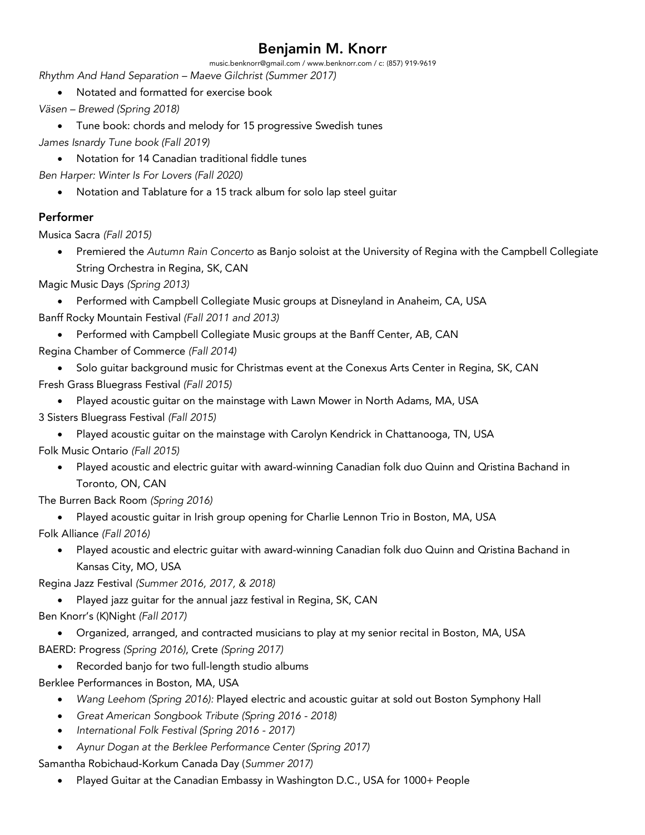music.benknorr@gmail.com / www.benknorr.com / c: (857) 919-9619

*Rhythm And Hand Separation – Maeve Gilchrist (Summer 2017)*

- Notated and formatted for exercise book
- *Väsen – Brewed (Spring 2018)*
- Tune book: chords and melody for 15 progressive Swedish tunes *James Isnardy Tune book (Fall 2019)*
	- Notation for 14 Canadian traditional fiddle tunes

*Ben Harper: Winter Is For Lovers (Fall 2020)*

• Notation and Tablature for a 15 track album for solo lap steel guitar

## Performer

Musica Sacra *(Fall 2015)*

• Premiered the *Autumn Rain Concerto* as Banjo soloist at the University of Regina with the Campbell Collegiate String Orchestra in Regina, SK, CAN

Magic Music Days *(Spring 2013)*

- Performed with Campbell Collegiate Music groups at Disneyland in Anaheim, CA, USA Banff Rocky Mountain Festival *(Fall 2011 and 2013)*
	- Performed with Campbell Collegiate Music groups at the Banff Center, AB, CAN
- Regina Chamber of Commerce *(Fall 2014)*
- Solo guitar background music for Christmas event at the Conexus Arts Center in Regina, SK, CAN Fresh Grass Bluegrass Festival *(Fall 2015)*
	- Played acoustic guitar on the mainstage with Lawn Mower in North Adams, MA, USA
- 3 Sisters Bluegrass Festival *(Fall 2015)*
	- Played acoustic guitar on the mainstage with Carolyn Kendrick in Chattanooga, TN, USA

Folk Music Ontario *(Fall 2015)*

• Played acoustic and electric guitar with award-winning Canadian folk duo Quinn and Qristina Bachand in Toronto, ON, CAN

The Burren Back Room *(Spring 2016)*

• Played acoustic guitar in Irish group opening for Charlie Lennon Trio in Boston, MA, USA

Folk Alliance *(Fall 2016)*

• Played acoustic and electric guitar with award-winning Canadian folk duo Quinn and Qristina Bachand in Kansas City, MO, USA

Regina Jazz Festival *(Summer 2016, 2017, & 2018)*

• Played jazz guitar for the annual jazz festival in Regina, SK, CAN Ben Knorr's (K)Night *(Fall 2017)*

• Organized, arranged, and contracted musicians to play at my senior recital in Boston, MA, USA BAERD: Progress *(Spring 2016)*, Crete *(Spring 2017)*

- Recorded banjo for two full-length studio albums
- Berklee Performances in Boston, MA, USA
	- *Wang Leehom (Spring 2016):* Played electric and acoustic guitar at sold out Boston Symphony Hall
	- *Great American Songbook Tribute (Spring 2016 - 2018)*
	- *International Folk Festival (Spring 2016 - 2017)*
	- *Aynur Dogan at the Berklee Performance Center (Spring 2017)*

Samantha Robichaud-Korkum Canada Day (*Summer 2017)*

• Played Guitar at the Canadian Embassy in Washington D.C., USA for 1000+ People